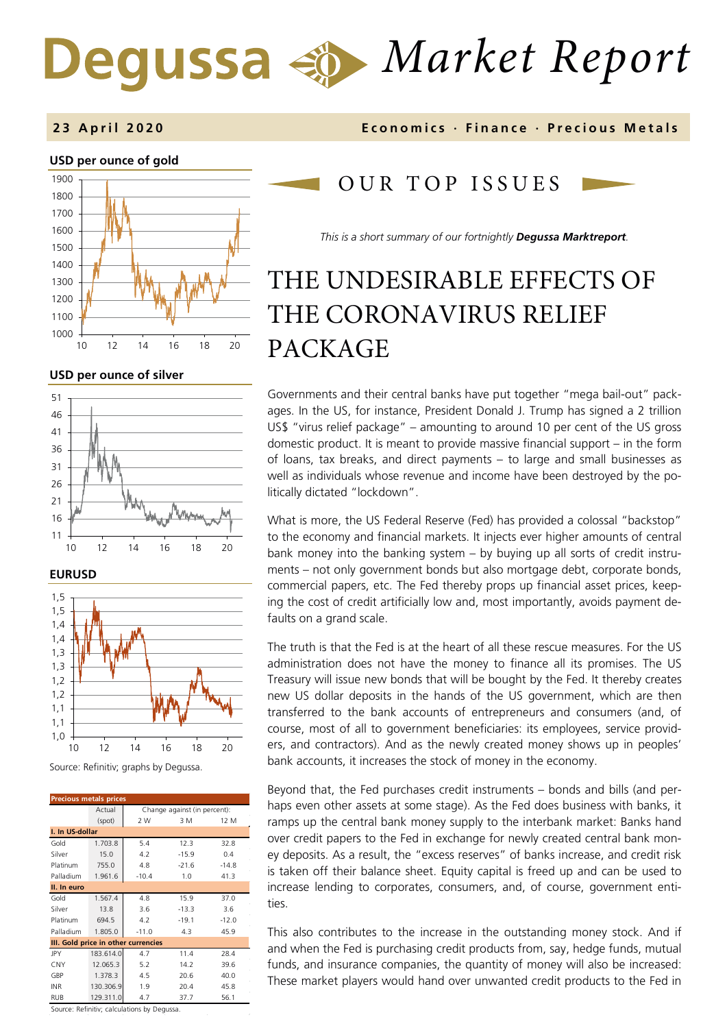# *Market Report*

## **USD per ounce of gold**  1000 1100 1200 1300 1400 1500 1600 1700 1800 1900 10 12 14 16 18 20

## **USD per ounce of silver**







| <b>Precious metals prices</b>       |           |                              |         |         |  |  |  |
|-------------------------------------|-----------|------------------------------|---------|---------|--|--|--|
|                                     | Actual    | Change against (in percent): |         |         |  |  |  |
|                                     | (spot)    | 2 W                          | 3 M     | 12 M    |  |  |  |
| I. In US-dollar                     |           |                              |         |         |  |  |  |
| Gold                                | 1.703.8   | 5.4                          | 12.3    | 32.8    |  |  |  |
| Silver                              | 15.0      | 4.2                          | $-15.9$ | 0.4     |  |  |  |
| Platinum                            | 755.0     | 4.8                          | $-21.6$ | $-14.8$ |  |  |  |
| Palladium                           | 1.961.6   | $-10.4$                      | 1.0     | 41.3    |  |  |  |
| II. In euro                         |           |                              |         |         |  |  |  |
| Gold                                | 1.567.4   | 4.8                          | 15.9    | 37.0    |  |  |  |
| Silver                              | 13.8      | 3.6                          | $-13.3$ | 3.6     |  |  |  |
| Platinum                            | 694.5     | 4.2                          | $-19.1$ | $-12.0$ |  |  |  |
| Palladium                           | 1.805.0   | $-11.0$                      | 4.3     | 45.9    |  |  |  |
| III. Gold price in other currencies |           |                              |         |         |  |  |  |
| JPY                                 | 183.614.0 | 4.7                          | 11.4    | 28.4    |  |  |  |
| CNY                                 | 12.065.3  | 5.2                          | 14.2    | 39.6    |  |  |  |
| GBP                                 | 1.378.3   | 4.5                          | 20.6    | 40.0    |  |  |  |
| <b>INR</b>                          | 130.306.9 | 1.9                          | 20.4    | 45.8    |  |  |  |
| <b>RUB</b>                          | 129.311.0 | 4.7                          | 37.7    | 56.1    |  |  |  |

Source: Refinitiv; calculations by Degussa.

## **2 3 April 2020 Economics · Finance · Precious M etals**

## OUR TOP ISSUE S

*This is a short summary of our fortnightly Degussa Marktreport.*

## THE UNDESIRABLE EFFECTS OF THE CORONAVIRUS RELIEF PACKAGE

Governments and their central banks have put together "mega bail-out" packages. In the US, for instance, President Donald J. Trump has signed a 2 trillion US\$ "virus relief package" – amounting to around 10 per cent of the US gross domestic product. It is meant to provide massive financial support – in the form of loans, tax breaks, and direct payments – to large and small businesses as well as individuals whose revenue and income have been destroyed by the politically dictated "lockdown".

What is more, the US Federal Reserve (Fed) has provided a colossal "backstop" to the economy and financial markets. It injects ever higher amounts of central bank money into the banking system – by buying up all sorts of credit instruments – not only government bonds but also mortgage debt, corporate bonds, commercial papers, etc. The Fed thereby props up financial asset prices, keeping the cost of credit artificially low and, most importantly, avoids payment defaults on a grand scale.

The truth is that the Fed is at the heart of all these rescue measures. For the US administration does not have the money to finance all its promises. The US Treasury will issue new bonds that will be bought by the Fed. It thereby creates new US dollar deposits in the hands of the US government, which are then transferred to the bank accounts of entrepreneurs and consumers (and, of course, most of all to government beneficiaries: its employees, service providers, and contractors). And as the newly created money shows up in peoples' bank accounts, it increases the stock of money in the economy.

Beyond that, the Fed purchases credit instruments – bonds and bills (and perhaps even other assets at some stage). As the Fed does business with banks, it ramps up the central bank money supply to the interbank market: Banks hand over credit papers to the Fed in exchange for newly created central bank money deposits. As a result, the "excess reserves" of banks increase, and credit risk is taken off their balance sheet. Equity capital is freed up and can be used to increase lending to corporates, consumers, and, of course, government entities.

This also contributes to the increase in the outstanding money stock. And if and when the Fed is purchasing credit products from, say, hedge funds, mutual funds, and insurance companies, the quantity of money will also be increased: These market players would hand over unwanted credit products to the Fed in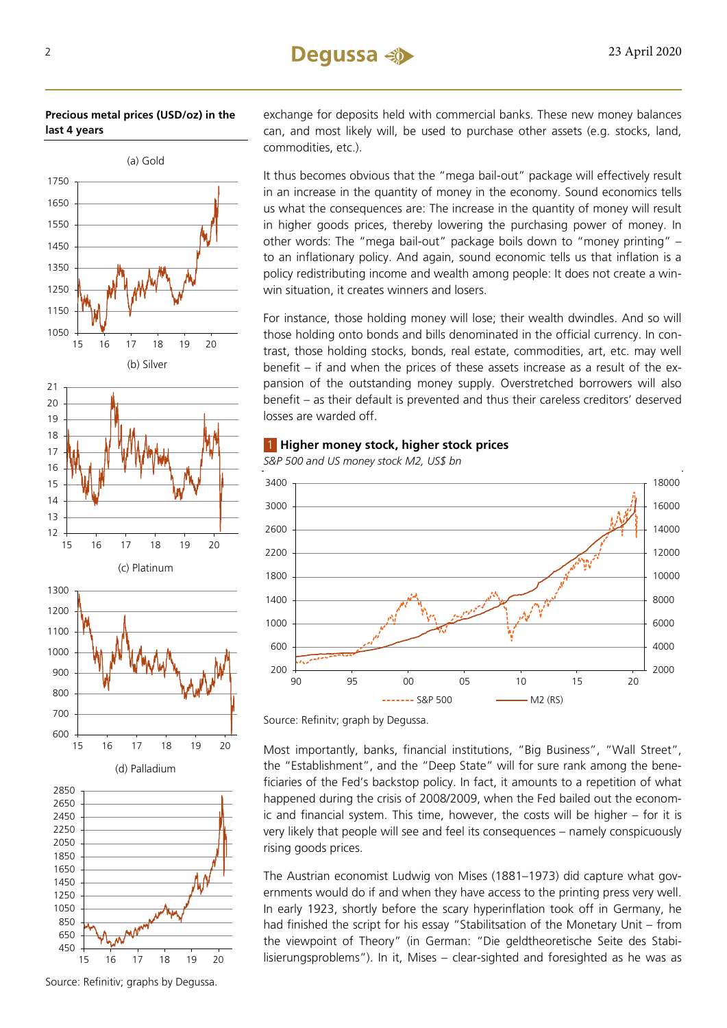**Precious metal prices (USD/oz) in the last 4 years**



exchange for deposits held with commercial banks. These new money balances can, and most likely will, be used to purchase other assets (e.g. stocks, land, commodities, etc.).

It thus becomes obvious that the "mega bail-out" package will effectively result in an increase in the quantity of money in the economy. Sound economics tells us what the consequences are: The increase in the quantity of money will result in higher goods prices, thereby lowering the purchasing power of money. In other words: The "mega bail-out" package boils down to "money printing" – to an inflationary policy. And again, sound economic tells us that inflation is a policy redistributing income and wealth among people: It does not create a winwin situation, it creates winners and losers.

For instance, those holding money will lose; their wealth dwindles. And so will those holding onto bonds and bills denominated in the official currency. In contrast, those holding stocks, bonds, real estate, commodities, art, etc. may well benefit – if and when the prices of these assets increase as a result of the expansion of the outstanding money supply. Overstretched borrowers will also benefit – as their default is prevented and thus their careless creditors' deserved losses are warded off.

## 1 **Higher money stock, higher stock prices**





Source: Refinitv; graph by Degussa.

Most importantly, banks, financial institutions, "Big Business", "Wall Street", the "Establishment", and the "Deep State" will for sure rank among the beneficiaries of the Fed's backstop policy. In fact, it amounts to a repetition of what happened during the crisis of 2008/2009, when the Fed bailed out the economic and financial system. This time, however, the costs will be higher – for it is very likely that people will see and feel its consequences – namely conspicuously rising goods prices.

The Austrian economist Ludwig von Mises (1881–1973) did capture what governments would do if and when they have access to the printing press very well. In early 1923, shortly before the scary hyperinflation took off in Germany, he had finished the script for his essay "Stabilitsation of the Monetary Unit – from the viewpoint of Theory" (in German: "Die geldtheoretische Seite des Stabilisierungsproblems"). In it, Mises – clear-sighted and foresighted as he was as

Source: Refinitiv; graphs by Degussa.

15 16 17 18 19 20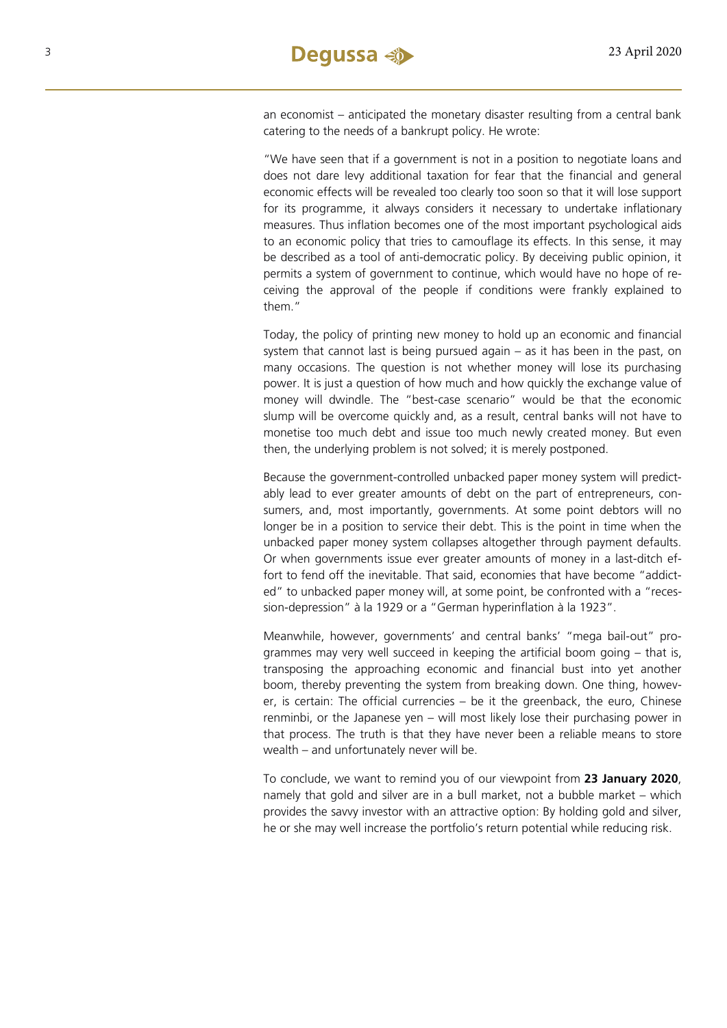an economist – anticipated the monetary disaster resulting from a central bank catering to the needs of a bankrupt policy. He wrote:

"We have seen that if a government is not in a position to negotiate loans and does not dare levy additional taxation for fear that the financial and general economic effects will be revealed too clearly too soon so that it will lose support for its programme, it always considers it necessary to undertake inflationary measures. Thus inflation becomes one of the most important psychological aids to an economic policy that tries to camouflage its effects. In this sense, it may be described as a tool of anti-democratic policy. By deceiving public opinion, it permits a system of government to continue, which would have no hope of receiving the approval of the people if conditions were frankly explained to them."

Today, the policy of printing new money to hold up an economic and financial system that cannot last is being pursued again – as it has been in the past, on many occasions. The question is not whether money will lose its purchasing power. It is just a question of how much and how quickly the exchange value of money will dwindle. The "best-case scenario" would be that the economic slump will be overcome quickly and, as a result, central banks will not have to monetise too much debt and issue too much newly created money. But even then, the underlying problem is not solved; it is merely postponed.

Because the government-controlled unbacked paper money system will predictably lead to ever greater amounts of debt on the part of entrepreneurs, consumers, and, most importantly, governments. At some point debtors will no longer be in a position to service their debt. This is the point in time when the unbacked paper money system collapses altogether through payment defaults. Or when governments issue ever greater amounts of money in a last-ditch effort to fend off the inevitable. That said, economies that have become "addicted" to unbacked paper money will, at some point, be confronted with a "recession-depression" à la 1929 or a "German hyperinflation à la 1923".

Meanwhile, however, governments' and central banks' "mega bail-out" programmes may very well succeed in keeping the artificial boom going – that is, transposing the approaching economic and financial bust into yet another boom, thereby preventing the system from breaking down. One thing, however, is certain: The official currencies – be it the greenback, the euro, Chinese renminbi, or the Japanese yen – will most likely lose their purchasing power in that process. The truth is that they have never been a reliable means to store wealth – and unfortunately never will be.

To conclude, we want to remind you of our viewpoint from **[23 January](https://www.degussa-goldhandel.de/wp-content/uploads/2020/01/degussa-marktreport-engl-23-01-2020.pdf) 2020**, namely that gold and silver are in a bull market, not a bubble market – which provides the savvy investor with an attractive option: By holding gold and silver, he or she may well increase the portfolio's return potential while reducing risk.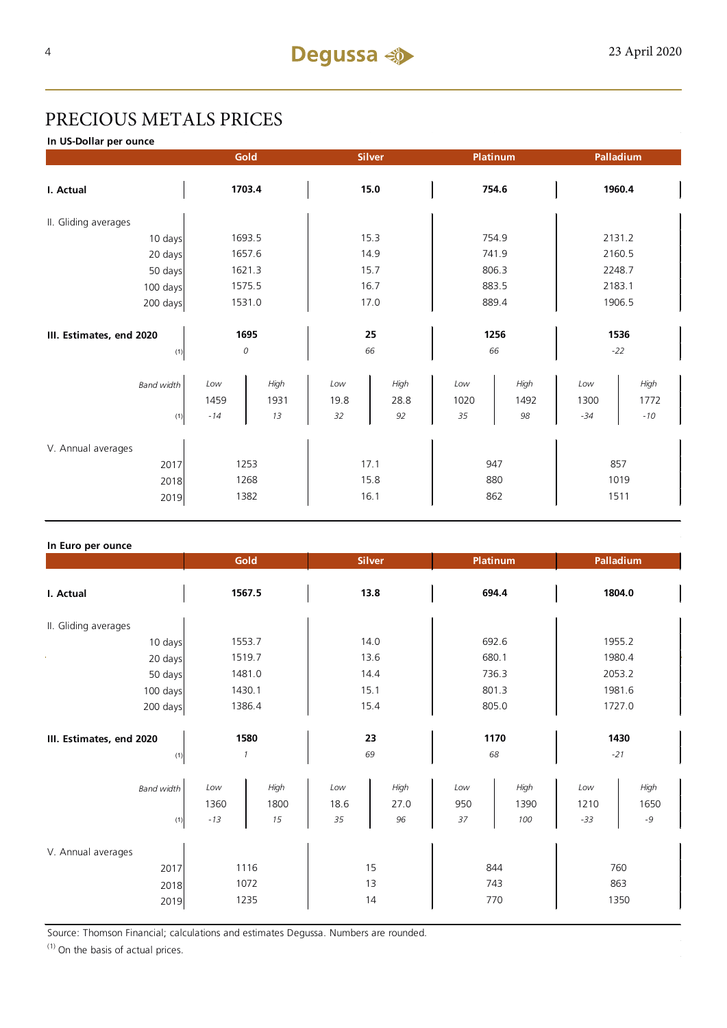## PRECIOUS METALS PRICES

**In US-Dollar per ounce**

|                   | Platinum                 |                   | Palladium          |                      |  |
|-------------------|--------------------------|-------------------|--------------------|----------------------|--|
| 15.0              |                          | 754.6             |                    | 1960.4               |  |
|                   |                          |                   |                    |                      |  |
| 15.3              |                          | 754.9             |                    | 2131.2               |  |
| 14.9              |                          | 741.9             |                    | 2160.5               |  |
| 15.7              |                          | 806.3             |                    | 2248.7               |  |
| 16.7              |                          | 883.5             |                    | 2183.1               |  |
| 17.0              |                          | 889.4             |                    | 1906.5               |  |
|                   |                          |                   |                    |                      |  |
| 25                |                          | 1256              |                    | 1536                 |  |
|                   | 66                       |                   | $-22$              |                      |  |
|                   |                          |                   |                    | High                 |  |
|                   |                          |                   |                    | 1772                 |  |
|                   |                          |                   |                    | $-10\,$              |  |
|                   |                          |                   |                    |                      |  |
|                   |                          |                   |                    |                      |  |
| 17.1              |                          | 947               |                    | 857                  |  |
| 15.8              |                          | 880               |                    | 1019                 |  |
| 16.1              |                          | 862               |                    | 1511                 |  |
| Low<br>19.8<br>32 | 66<br>High<br>28.8<br>92 | Low<br>1020<br>35 | High<br>1492<br>98 | Low<br>1300<br>$-34$ |  |

### **In Euro per ounce**

|                                            | Gold                  |                    | <b>Silver</b><br><b>Platinum</b> |                    | Palladium         |                     |                      |                      |
|--------------------------------------------|-----------------------|--------------------|----------------------------------|--------------------|-------------------|---------------------|----------------------|----------------------|
| I. Actual                                  | 1567.5                |                    | 13.8                             |                    | 694.4             |                     | 1804.0               |                      |
| II. Gliding averages                       |                       |                    |                                  |                    |                   |                     |                      |                      |
| 10 days                                    | 1553.7                |                    | 14.0                             |                    | 692.6             |                     | 1955.2               |                      |
| 20 days                                    | 1519.7                |                    | 13.6                             |                    | 680.1             |                     | 1980.4               |                      |
| 50 days                                    | 1481.0                |                    | 14.4                             |                    | 736.3             |                     | 2053.2               |                      |
| 100 days                                   | 1430.1                |                    | 15.1                             |                    | 801.3             |                     | 1981.6               |                      |
| 200 days                                   | 1386.4                |                    |                                  | 15.4               | 805.0             |                     | 1727.0               |                      |
| III. Estimates, end 2020<br>(1)            | 1580<br>$\mathcal{I}$ |                    | 23<br>69                         |                    | 1170<br>68        |                     | 1430<br>$-21$        |                      |
| <b>Band width</b><br>(1)                   | Low<br>1360<br>$-13$  | High<br>1800<br>15 | Low<br>18.6<br>35                | High<br>27.0<br>96 | Low<br>950<br>37  | High<br>1390<br>100 | Low<br>1210<br>$-33$ | High<br>1650<br>$-9$ |
| V. Annual averages<br>2017<br>2018<br>2019 | 1116<br>1072<br>1235  |                    | 15<br>13<br>14                   |                    | 844<br>743<br>770 |                     | 760<br>863<br>1350   |                      |

Source: Thomson Financial; calculations and estimates Degussa. Numbers are rounded.

 $(1)$  On the basis of actual prices.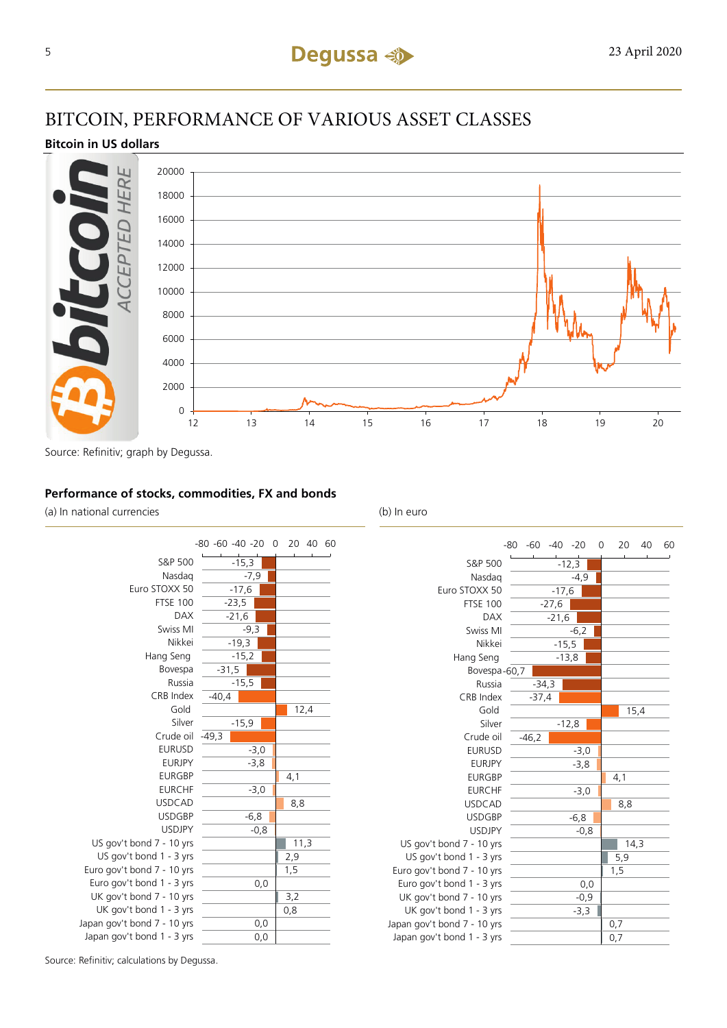## BITCOIN, PERFORMANCE OF VARIOUS ASSET CLASSES

## **Bitcoin in US dollars**



Source: Refinitiv; graph by Degussa.

## **Performance of stocks, commodities, FX and bonds**

(a) In national currencies (b) In euro





Source: Refinitiv; calculations by Degussa.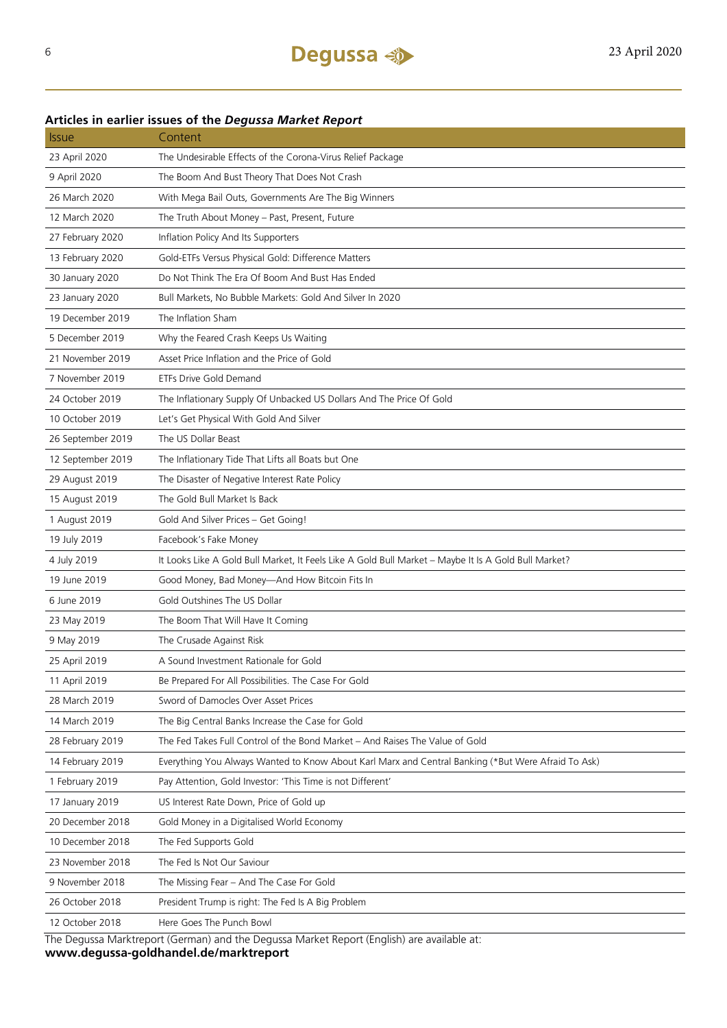## 23 April 2020 The Undesirable Effects of the Corona-Virus Relief Package 9 April 2020 The Boom And Bust Theory That Does Not Crash 26 March 2020 With Mega Bail Outs, Governments Are The Big Winners 12 March 2020 The Truth About Money – Past, Present, Future 27 February 2020 Inflation Policy And Its Supporters 13 February 2020 Gold-ETFs Versus Physical Gold: Difference Matters 30 January 2020 Do Not Think The Era Of Boom And Bust Has Ended 23 January 2020 Bull Markets, No Bubble Markets: Gold And Silver In 2020 19 December 2019 The Inflation Sham 5 December 2019 Why the Feared Crash Keeps Us Waiting 21 November 2019 Asset Price Inflation and the Price of Gold 7 November 2019 ETFs Drive Gold Demand 24 October 2019 The Inflationary Supply Of Unbacked US Dollars And The Price Of Gold 10 October 2019 Let's Get Physical With Gold And Silver 26 September 2019 The US Dollar Beast 12 September 2019 The Inflationary Tide That Lifts all Boats but One 29 August 2019 The Disaster of Negative Interest Rate Policy 15 August 2019 The Gold Bull Market Is Back 1 August 2019 Gold And Silver Prices – Get Going! 19 July 2019 Facebook's Fake Money 4 July 2019 It Looks Like A Gold Bull Market, It Feels Like A Gold Bull Market – Maybe It Is A Gold Bull Market? 19 June 2019 Good Money, Bad Money—And How Bitcoin Fits In 6 June 2019 Gold Outshines The US Dollar 23 May 2019 The Boom That Will Have It Coming 9 May 2019 The Crusade Against Risk 25 April 2019 A Sound Investment Rationale for Gold 11 April 2019 Be Prepared For All Possibilities. The Case For Gold 28 March 2019 Sword of Damocles Over Asset Prices 14 March 2019 The Big Central Banks Increase the Case for Gold 28 February 2019 The Fed Takes Full Control of the Bond Market – And Raises The Value of Gold 14 February 2019 Everything You Always Wanted to Know About Karl Marx and Central Banking (\*But Were Afraid To Ask) 1 February 2019 Pay Attention, Gold Investor: 'This Time is not Different' 17 January 2019 US Interest Rate Down, Price of Gold up 20 December 2018 Gold Money in a Digitalised World Economy 10 December 2018 The Fed Supports Gold 23 November 2018 The Fed Is Not Our Saviour 9 November 2018 The Missing Fear – And The Case For Gold 26 October 2018 President Trump is right: The Fed Is A Big Problem 12 October 2018 Here Goes The Punch Bowl

**Articles in earlier issues of the** *Degussa Market Report*

Issue Content

The Degussa Marktreport (German) and the Degussa Market Report (English) are available at: **www.degussa-goldhandel.de/marktreport**